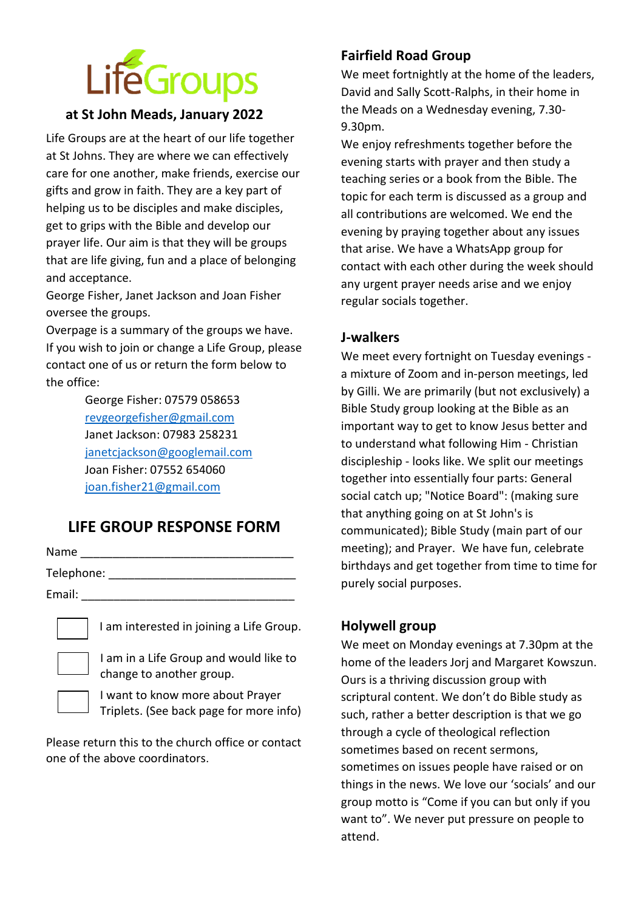# **LifeGroups**

## **at St John Meads, January 2022**

Life Groups are at the heart of our life together at St Johns. They are where we can effectively care for one another, make friends, exercise our gifts and grow in faith. They are a key part of helping us to be disciples and make disciples, get to grips with the Bible and develop our prayer life. Our aim is that they will be groups that are life giving, fun and a place of belonging and acceptance.

George Fisher, Janet Jackson and Joan Fisher oversee the groups.

Overpage is a summary of the groups we have. If you wish to join or change a Life Group, please contact one of us or return the form below to the office:

> George Fisher: 07579 058653 [revgeorgefisher@gmail.com](mailto:revgeorgefisher@gmail.com) Janet Jackson: 07983 258231 [janetcjackson@googlemail.com](mailto:janetcjackson@googlemail.com) Joan Fisher: 07552 654060 [joan.fisher21@gmail.com](mailto:joan.fisher21@gmail.com)

# **LIFE GROUP RESPONSE FORM**

| Name       |  |  |  |
|------------|--|--|--|
| Telephone: |  |  |  |
| Email:     |  |  |  |

I am interested in joining a Life Group.

I am in a Life Group and would like to change to another group.

I want to know more about Prayer Triplets. (See back page for more info)

Please return this to the church office or contact one of the above coordinators.

# **Fairfield Road Group**

We meet fortnightly at the home of the leaders, David and Sally Scott-Ralphs, in their home in the Meads on a Wednesday evening, 7.30- 9.30pm.

We enjoy refreshments together before the evening starts with prayer and then study a teaching series or a book from the Bible. The topic for each term is discussed as a group and all contributions are welcomed. We end the evening by praying together about any issues that arise. We have a WhatsApp group for contact with each other during the week should any urgent prayer needs arise and we enjoy regular socials together.

#### **J-walkers**

We meet every fortnight on Tuesday evenings a mixture of Zoom and in-person meetings, led by Gilli. We are primarily (but not exclusively) a Bible Study group looking at the Bible as an important way to get to know Jesus better and to understand what following Him - Christian discipleship - looks like. We split our meetings together into essentially four parts: General social catch up; "Notice Board": (making sure that anything going on at St John's is communicated); Bible Study (main part of our meeting); and Prayer. We have fun, celebrate birthdays and get together from time to time for purely social purposes.

#### **Holywell group**

We meet on Monday evenings at 7.30pm at the home of the leaders Jorj and Margaret Kowszun. Ours is a thriving discussion group with scriptural content. We don't do Bible study as such, rather a better description is that we go through a cycle of theological reflection sometimes based on recent sermons, sometimes on issues people have raised or on things in the news. We love our 'socials' and our group motto is "Come if you can but only if you want to". We never put pressure on people to attend.